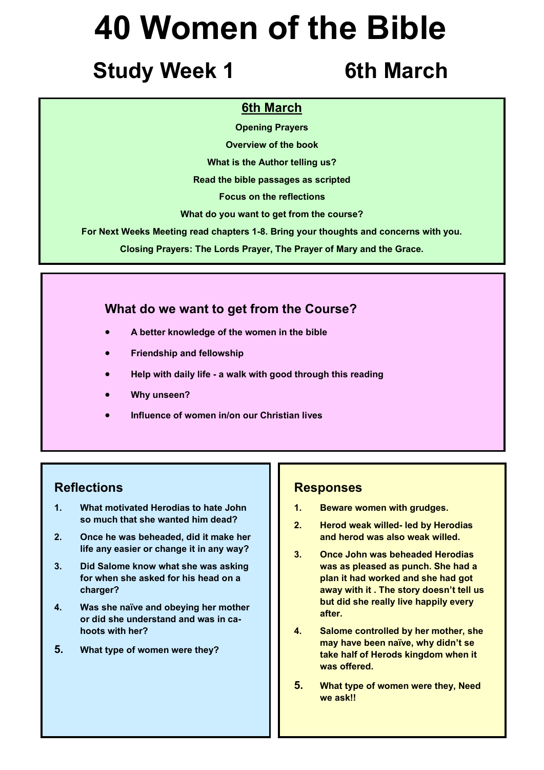## **Study Week 1** 6th March

### **6th March**

**Opening Prayers**

**Overview of the book**

**What is the Author telling us?**

**Read the bible passages as scripted**

**Focus on the reflections**

**What do you want to get from the course?**

**For Next Weeks Meeting read chapters 1-8. Bring your thoughts and concerns with you.**

**Closing Prayers: The Lords Prayer, The Prayer of Mary and the Grace.**

### **What do we want to get from the Course?**

- **A better knowledge of the women in the bible**
- **Friendship and fellowship**
- **Help with daily life - a walk with good through this reading**
- **Why unseen?**
- **Influence of women in/on our Christian lives**

### **Reflections**

- **1. What motivated Herodias to hate John so much that she wanted him dead?**
- **2. Once he was beheaded, did it make her life any easier or change it in any way?**
- **3. Did Salome know what she was asking for when she asked for his head on a charger?**
- **4. Was she naïve and obeying her mother or did she understand and was in cahoots with her?**
- **5. What type of women were they?**

### **Responses**

- **1. Beware women with grudges.**
- **2. Herod weak willed- led by Herodias and herod was also weak willed.**
- **3. Once John was beheaded Herodias was as pleased as punch. She had a plan it had worked and she had got away with it . The story doesn't tell us but did she really live happily every after.**
- **4. Salome controlled by her mother, she may have been naïve, why didn't se take half of Herods kingdom when it was offered.**
- **5. What type of women were they, Need we ask!!**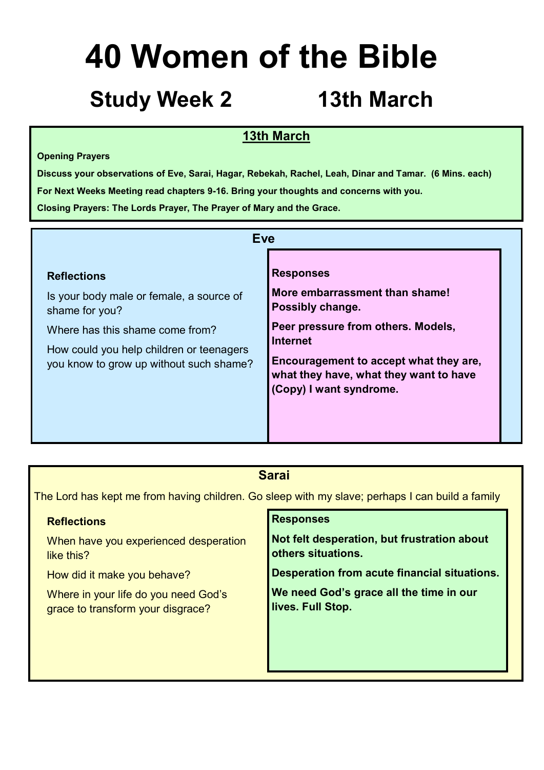## **Study Week 2 13th March**

### **13th March**

### **Opening Prayers**

**Discuss your observations of Eve, Sarai, Hagar, Rebekah, Rachel, Leah, Dinar and Tamar. (6 Mins. each) For Next Weeks Meeting read chapters 9-16. Bring your thoughts and concerns with you. Closing Prayers: The Lords Prayer, The Prayer of Mary and the Grace.**

| <b>Eve</b>                                                                                                                                                                                                 |                                                                                                                                                                                                                                                |
|------------------------------------------------------------------------------------------------------------------------------------------------------------------------------------------------------------|------------------------------------------------------------------------------------------------------------------------------------------------------------------------------------------------------------------------------------------------|
| <b>Reflections</b><br>Is your body male or female, a source of<br>shame for you?<br>Where has this shame come from?<br>How could you help children or teenagers<br>you know to grow up without such shame? | <b>Responses</b><br>More embarrassment than shame!<br>Possibly change.<br>Peer pressure from others. Models,<br><b>Internet</b><br>Encouragement to accept what they are,<br>what they have, what they want to have<br>(Copy) I want syndrome. |

### **Sarai**

The Lord has kept me from having children. Go sleep with my slave; perhaps I can build a family

| <b>Reflections</b>                    | <b>Responses</b>                             |
|---------------------------------------|----------------------------------------------|
| When have you experienced desperation | Not felt desperation, but frustration about  |
| like this?                            | others situations.                           |
| How did it make you behave?           | Desperation from acute financial situations. |
| Where in your life do you need God's  | We need God's grace all the time in our      |
| grace to transform your disgrace?     | lives. Full Stop.                            |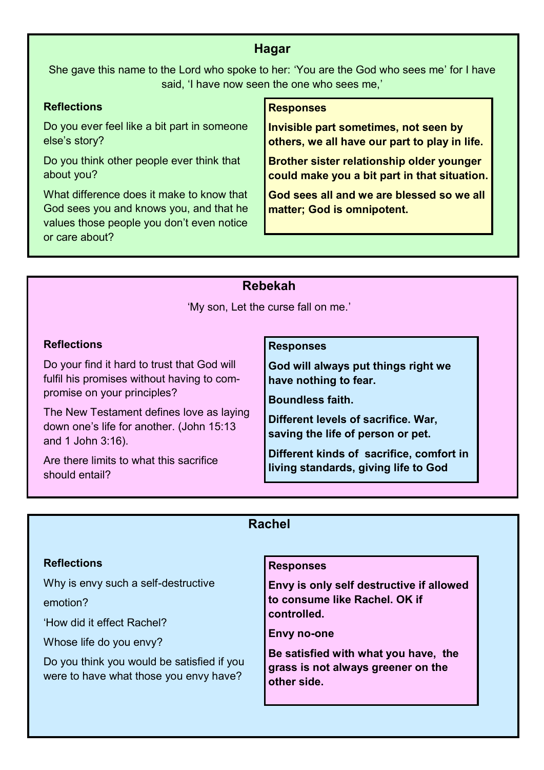### **Hagar**

She gave this name to the Lord who spoke to her: 'You are the God who sees me' for I have said, 'I have now seen the one who sees me,'

### **Reflections**

Do you ever feel like a bit part in someone else's story?

Do you think other people ever think that about you?

What difference does it make to know that God sees you and knows you, and that he values those people you don't even notice or care about?

### **Responses**

**Invisible part sometimes, not seen by others, we all have our part to play in life.** 

**Brother sister relationship older younger could make you a bit part in that situation.**

**God sees all and we are blessed so we all matter; God is omnipotent.**

### **Rebekah**

'My son, Let the curse fall on me.'

### **Reflections**

Do your find it hard to trust that God will fulfil his promises without having to compromise on your principles?

The New Testament defines love as laying down one's life for another. (John 15:13 and 1 John 3:16).

Are there limits to what this sacrifice should entail?

### **Responses**

**God will always put things right we have nothing to fear.**

**Boundless faith.** 

**Different levels of sacrifice. War, saving the life of person or pet.** 

**Different kinds of sacrifice, comfort in living standards, giving life to God**

### **Rachel**

### **Reflections** Why is envy such a self-destructive emotion? 'How did it effect Rachel? Whose life do you envy? Do you think you would be satisfied if you were to have what those you envy have? **Responses Envy is only self destructive if allowed to consume like Rachel. OK if controlled. Envy no-one Be satisfied with what you have, the grass is not always greener on the other side.**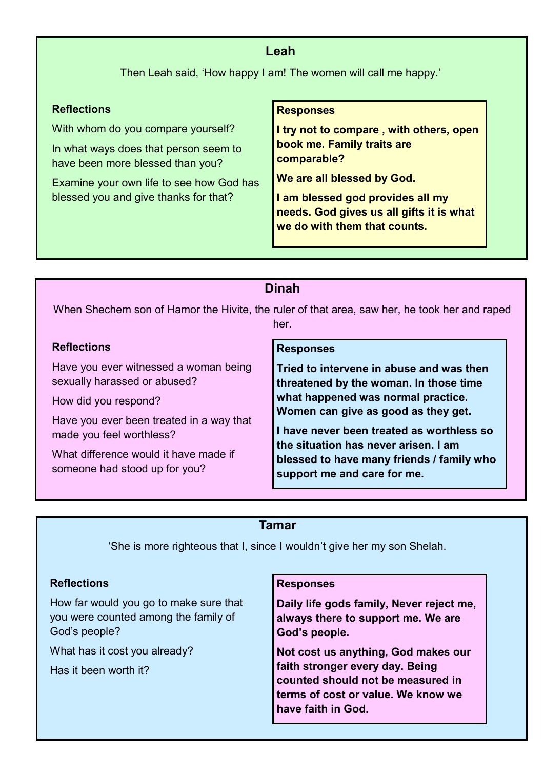### **Leah**

Then Leah said, 'How happy I am! The women will call me happy.'

### **Reflections**

With whom do you compare yourself?

In what ways does that person seem to have been more blessed than you?

Examine your own life to see how God has blessed you and give thanks for that?

### **Responses**

**I try not to compare , with others, open book me. Family traits are comparable?**

**We are all blessed by God.**

**I am blessed god provides all my needs. God gives us all gifts it is what we do with them that counts.**

### **Dinah**

When Shechem son of Hamor the Hivite, the ruler of that area, saw her, he took her and raped her.

### **Reflections**

Have you ever witnessed a woman being sexually harassed or abused?

How did you respond?

Have you ever been treated in a way that made you feel worthless?

What difference would it have made if someone had stood up for you?

### **Responses**

**Tried to intervene in abuse and was then threatened by the woman. In those time what happened was normal practice. Women can give as good as they get.**

**I have never been treated as worthless so the situation has never arisen. I am blessed to have many friends / family who support me and care for me.**

### **Tamar**

'She is more righteous that I, since I wouldn't give her my son Shelah.

### **Reflections**

How far would you go to make sure that you were counted among the family of God's people?

What has it cost you already?

Has it been worth it?

### **Responses**

**Daily life gods family, Never reject me, always there to support me. We are God's people.**

**Not cost us anything, God makes our faith stronger every day. Being counted should not be measured in terms of cost or value. We know we have faith in God.**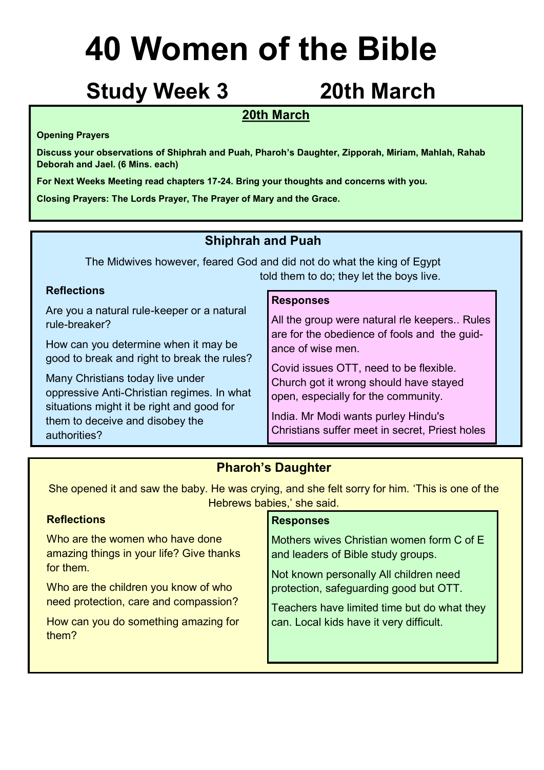## **Study Week 3 20th March**

### **20th March**

### **Opening Prayers**

**Discuss your observations of Shiphrah and Puah, Pharoh's Daughter, Zipporah, Miriam, Mahlah, Rahab Deborah and Jael. (6 Mins. each)**

**For Next Weeks Meeting read chapters 17-24. Bring your thoughts and concerns with you.**

**Closing Prayers: The Lords Prayer, The Prayer of Mary and the Grace.**

### **Shiphrah and Puah**

The Midwives however, feared God and did not do what the king of Egypt told them to do; they let the boys live.

### **Reflections**

Are you a natural rule-keeper or a natural rule-breaker?

How can you determine when it may be good to break and right to break the rules?

Many Christians today live under oppressive Anti-Christian regimes. In what situations might it be right and good for them to deceive and disobey the authorities?

### **Responses**

All the group were natural rle keepers.. Rules are for the obedience of fools and the guidance of wise men.

Covid issues OTT, need to be flexible. Church got it wrong should have stayed open, especially for the community.

India. Mr Modi wants purley Hindu's Christians suffer meet in secret, Priest holes

### **Pharoh's Daughter**

She opened it and saw the baby. He was crying, and she felt sorry for him. 'This is one of the Hebrews babies,' she said.

| <b>Reflections</b>                            | <b>Responses</b>                            |
|-----------------------------------------------|---------------------------------------------|
| Who are the women who have done               | Mothers wives Christian women form C of E   |
| amazing things in your life? Give thanks      | and leaders of Bible study groups.          |
| for them.                                     | Not known personally All children need      |
| Who are the children you know of who          | protection, safeguarding good but OTT.      |
| need protection, care and compassion?         | Teachers have limited time but do what they |
| How can you do something amazing for<br>them? | can. Local kids have it very difficult.     |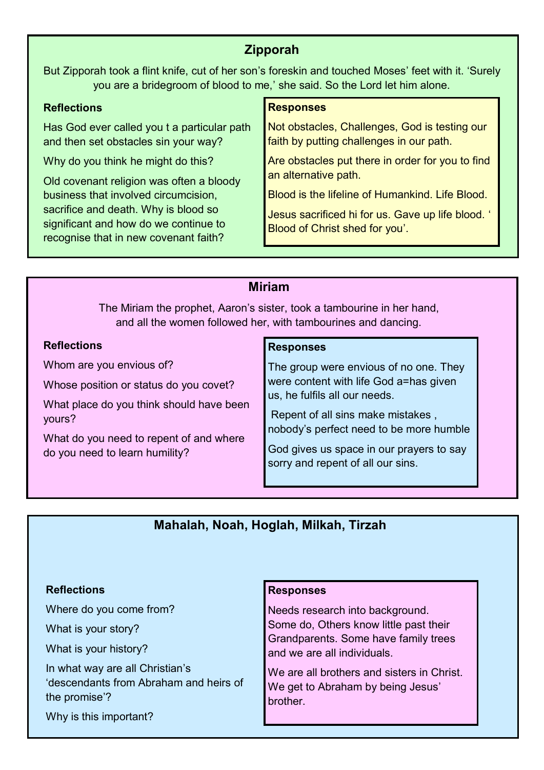### **Zipporah**

But Zipporah took a flint knife, cut of her son's foreskin and touched Moses' feet with it. 'Surely you are a bridegroom of blood to me,' she said. So the Lord let him alone.

### **Reflections**

Has God ever called you t a particular path and then set obstacles sin your way?

Why do you think he might do this?

Old covenant religion was often a bloody business that involved circumcision, sacrifice and death. Why is blood so significant and how do we continue to recognise that in new covenant faith?

### **Responses**

Not obstacles, Challenges, God is testing our faith by putting challenges in our path.

Are obstacles put there in order for you to find an alternative path.

Blood is the lifeline of Humankind. Life Blood.

Jesus sacrificed hi for us. Gave up life blood. ' Blood of Christ shed for you'.

### **Miriam**

The Miriam the prophet, Aaron's sister, took a tambourine in her hand, and all the women followed her, with tambourines and dancing.

### **Reflections**

Whom are you envious of?

Whose position or status do you covet?

What place do you think should have been yours?

What do you need to repent of and where do you need to learn humility?

### **Responses**

The group were envious of no one. They were content with life God a=has given us, he fulfils all our needs.

Repent of all sins make mistakes , nobody's perfect need to be more humble

God gives us space in our prayers to say sorry and repent of all our sins.

### **Mahalah, Noah, Hoglah, Milkah, Tirzah**

### **Reflections**

Where do you come from?

What is your story?

What is your history?

In what way are all Christian's 'descendants from Abraham and heirs of the promise'?

Why is this important?

### **Responses**

Needs research into background. Some do, Others know little past their Grandparents. Some have family trees and we are all individuals.

We are all brothers and sisters in Christ. We get to Abraham by being Jesus' brother.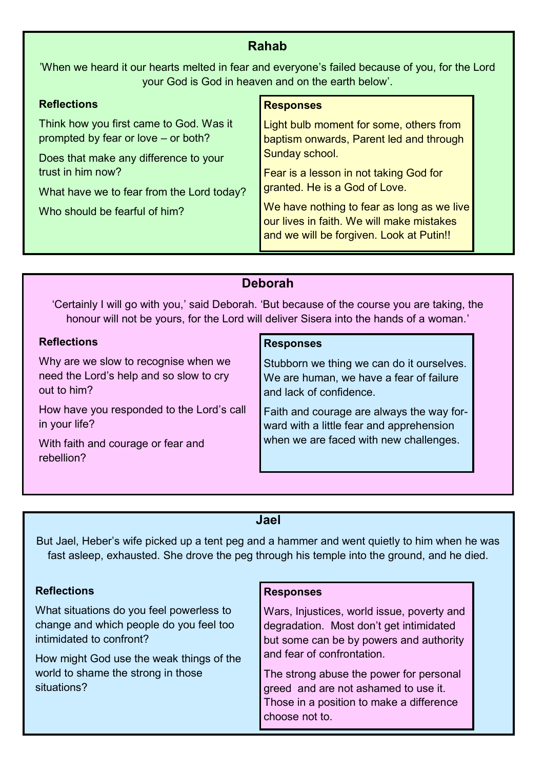### **Rahab**

'When we heard it our hearts melted in fear and everyone's failed because of you, for the Lord your God is God in heaven and on the earth below'.

| <b>Reflections</b>                                                             | <b>Responses</b>                                                                                                                    |  |
|--------------------------------------------------------------------------------|-------------------------------------------------------------------------------------------------------------------------------------|--|
| Think how you first came to God. Was it<br>prompted by fear or love – or both? | Light bulb moment for some, others from<br>baptism onwards, Parent led and through                                                  |  |
| Does that make any difference to your                                          | Sunday school.                                                                                                                      |  |
| trust in him now?                                                              | Fear is a lesson in not taking God for                                                                                              |  |
| What have we to fear from the Lord today?                                      | granted. He is a God of Love.                                                                                                       |  |
| Who should be fearful of him?                                                  | We have nothing to fear as long as we live<br>our lives in faith. We will make mistakes<br>and we will be forgiven. Look at Putin!! |  |

### **Deborah**

'Certainly I will go with you,' said Deborah. 'But because of the course you are taking, the honour will not be yours, for the Lord will deliver Sisera into the hands of a woman.'

### **Reflections**

Why are we slow to recognise when we need the Lord's help and so slow to cry out to him?

How have you responded to the Lord's call in your life?

With faith and courage or fear and rebellion?

### **Responses**

Stubborn we thing we can do it ourselves. We are human, we have a fear of failure and lack of confidence.

Faith and courage are always the way forward with a little fear and apprehension when we are faced with new challenges.

### **Jael**

But Jael, Heber's wife picked up a tent peg and a hammer and went quietly to him when he was fast asleep, exhausted. She drove the peg through his temple into the ground, and he died.

### **Reflections**

What situations do you feel powerless to change and which people do you feel too intimidated to confront?

How might God use the weak things of the world to shame the strong in those situations?

### **Responses**

Wars, Injustices, world issue, poverty and degradation. Most don't get intimidated but some can be by powers and authority and fear of confrontation.

The strong abuse the power for personal greed and are not ashamed to use it. Those in a position to make a difference choose not to.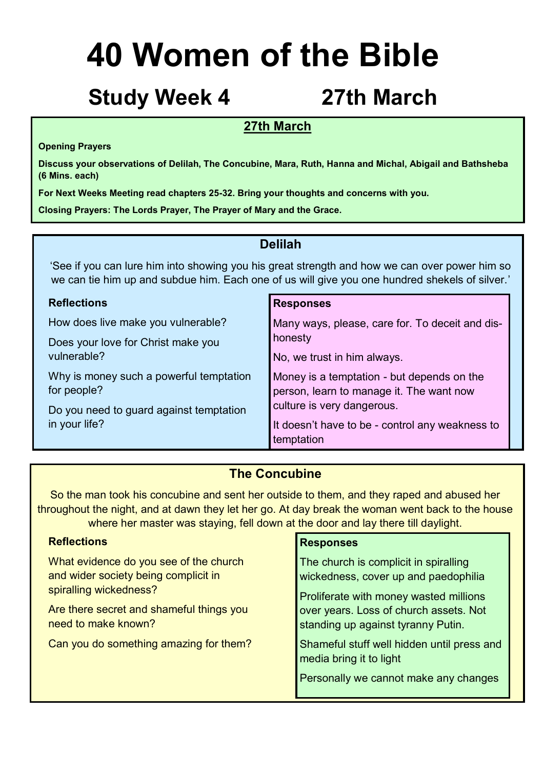## **Study Week 4 27th March**

### **27th March**

### **Opening Prayers**

**Discuss your observations of Delilah, The Concubine, Mara, Ruth, Hanna and Michal, Abigail and Bathsheba (6 Mins. each)**

**For Next Weeks Meeting read chapters 25-32. Bring your thoughts and concerns with you.**

**Closing Prayers: The Lords Prayer, The Prayer of Mary and the Grace.**

### **Delilah**

'See if you can lure him into showing you his great strength and how we can over power him so we can tie him up and subdue him. Each one of us will give you one hundred shekels of silver.'

| <b>Reflections</b>                      | <b>Responses</b>                                |
|-----------------------------------------|-------------------------------------------------|
| How does live make you vulnerable?      | Many ways, please, care for. To deceit and dis- |
| Does your love for Christ make you      | honesty                                         |
| vulnerable?                             | No, we trust in him always.                     |
| Why is money such a powerful temptation | Money is a temptation - but depends on the      |
| for people?                             | person, learn to manage it. The want now        |
| Do you need to guard against temptation | culture is very dangerous.                      |
| in your life?                           | It doesn't have to be - control any weakness to |
|                                         | temptation                                      |

### **The Concubine**

So the man took his concubine and sent her outside to them, and they raped and abused her throughout the night, and at dawn they let her go. At day break the woman went back to the house where her master was staying, fell down at the door and lay there till daylight.

| <b>Reflections</b>                                                                                       | <b>Responses</b>                                                                                                        |
|----------------------------------------------------------------------------------------------------------|-------------------------------------------------------------------------------------------------------------------------|
| What evidence do you see of the church<br>and wider society being complicit in<br>spiralling wickedness? | The church is complicit in spiralling<br>wickedness, cover up and paedophilia<br>Proliferate with money wasted millions |
| Are there secret and shameful things you<br>need to make known?                                          | over years. Loss of church assets. Not<br>standing up against tyranny Putin.                                            |
| Can you do something amazing for them?                                                                   | Shameful stuff well hidden until press and<br>media bring it to light                                                   |
|                                                                                                          | Personally we cannot make any changes                                                                                   |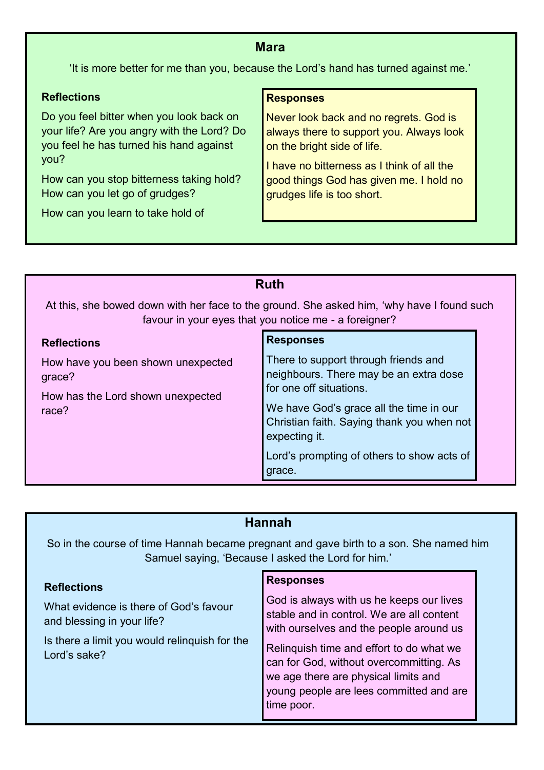### **Mara**

'It is more better for me than you, because the Lord's hand has turned against me.'

### **Reflections**

Do you feel bitter when you look back on your life? Are you angry with the Lord? Do you feel he has turned his hand against you?

How can you stop bitterness taking hold? How can you let go of grudges?

How can you learn to take hold of

### **Responses**

Never look back and no regrets. God is always there to support you. Always look on the bright side of life.

I have no bitterness as I think of all the good things God has given me. I hold no grudges life is too short.

### **Reflections** How have you been shown unexpected grace? How has the Lord shown unexpected race? **Responses** There to support through friends and neighbours. There may be an extra dose for one off situations. We have God's grace all the time in our Christian faith. Saying thank you when not expecting it. Lord's prompting of others to show acts of grace. **Ruth** At this, she bowed down with her face to the ground. She asked him, 'why have I found such favour in your eyes that you notice me - a foreigner?

### **Hannah**

So in the course of time Hannah became pregnant and gave birth to a son. She named him Samuel saying, 'Because I asked the Lord for him.'

| <b>Reflections</b>                                                                                                                    | <b>Responses</b>                                                                                                                                                                                                                                                                                                         |
|---------------------------------------------------------------------------------------------------------------------------------------|--------------------------------------------------------------------------------------------------------------------------------------------------------------------------------------------------------------------------------------------------------------------------------------------------------------------------|
| What evidence is there of God's favour<br>and blessing in your life?<br>Is there a limit you would relinquish for the<br>Lord's sake? | God is always with us he keeps our lives<br>stable and in control. We are all content<br>with ourselves and the people around us<br>Relinquish time and effort to do what we<br>can for God, without overcommitting. As<br>we age there are physical limits and<br>young people are lees committed and are<br>time poor. |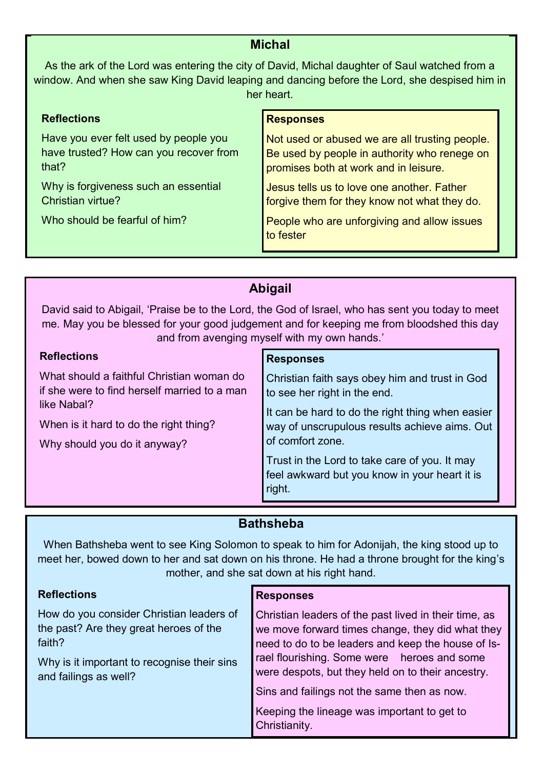### **Michal**

As the ark of the Lord was entering the city of David, Michal daughter of Saul watched from a window. And when she saw King David leaping and dancing before the Lord, she despised him in her heart.

### **Reflections** Have you ever felt used by people you have trusted? How can you recover from that? Why is forgiveness such an essential Christian virtue? Who should be fearful of him? **Responses** Not used or abused we are all trusting people. Be used by people in authority who renege on promises both at work and in leisure. Jesus tells us to love one another. Father forgive them for they know not what they do. People who are unforgiving and allow issues to fester

| <b>Abigail</b>                                                                                                                                                                                                                                |                                                                                                                                                                                                                                                                                                                     |
|-----------------------------------------------------------------------------------------------------------------------------------------------------------------------------------------------------------------------------------------------|---------------------------------------------------------------------------------------------------------------------------------------------------------------------------------------------------------------------------------------------------------------------------------------------------------------------|
| David said to Abigail, 'Praise be to the Lord, the God of Israel, who has sent you today to meet<br>me. May you be blessed for your good judgement and for keeping me from bloodshed this day<br>and from avenging myself with my own hands.' |                                                                                                                                                                                                                                                                                                                     |
| <b>Reflections</b>                                                                                                                                                                                                                            | <b>Responses</b>                                                                                                                                                                                                                                                                                                    |
| What should a faithful Christian woman do<br>if she were to find herself married to a man<br>like Nabal?<br>When is it hard to do the right thing?<br>Why should you do it anyway?                                                            | Christian faith says obey him and trust in God<br>to see her right in the end.<br>It can be hard to do the right thing when easier<br>way of unscrupulous results achieve aims. Out<br>of comfort zone.<br>Trust in the Lord to take care of you. It may<br>feel awkward but you know in your heart it is<br>right. |

### **Bathsheba**

When Bathsheba went to see King Solomon to speak to him for Adonijah, the king stood up to meet her, bowed down to her and sat down on his throne. He had a throne brought for the king's mother, and she sat down at his right hand.

### **Reflections** How do you consider Christian leaders of the past? Are they great heroes of the faith? Why is it important to recognise their sins and failings as well? **Responses** Christian leaders of the past lived in their time, as we move forward times change, they did what they need to do to be leaders and keep the house of Israel flourishing. Some were heroes and some were despots, but they held on to their ancestry. Sins and failings not the same then as now. Keeping the lineage was important to get to Christianity.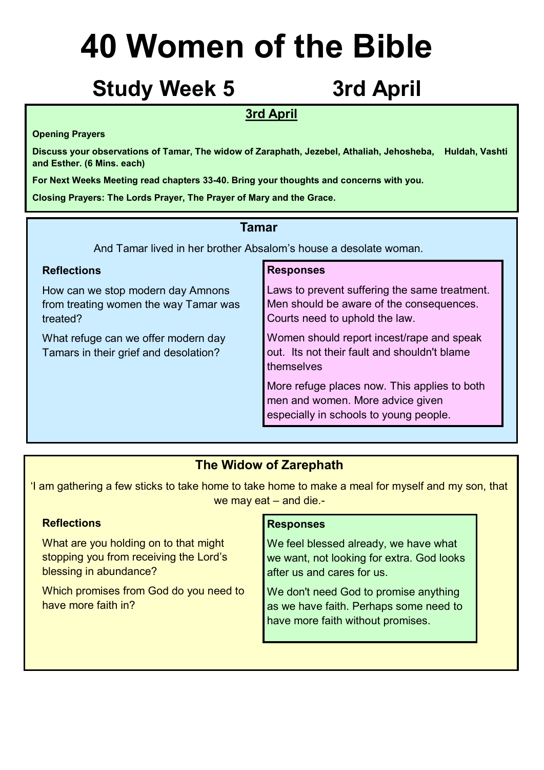## Study Week 5 3rd April

### **3rd April**

### **Opening Prayers**

**Discuss your observations of Tamar, The widow of Zaraphath, Jezebel, Athaliah, Jehosheba, Huldah, Vashti and Esther. (6 Mins. each)**

**For Next Weeks Meeting read chapters 33-40. Bring your thoughts and concerns with you.**

**Closing Prayers: The Lords Prayer, The Prayer of Mary and the Grace.**

### **Tamar**

And Tamar lived in her brother Absalom's house a desolate woman.

### **Reflections**

How can we stop modern day Amnons from treating women the way Tamar was treated?

What refuge can we offer modern day Tamars in their grief and desolation?

### **Responses**

Laws to prevent suffering the same treatment. Men should be aware of the consequences. Courts need to uphold the law.

Women should report incest/rape and speak out. Its not their fault and shouldn't blame themselves

More refuge places now. This applies to both men and women. More advice given especially in schools to young people.

### **The Widow of Zarephath**

'I am gathering a few sticks to take home to take home to make a meal for myself and my son, that we may eat – and die.-

### **Reflections**

What are you holding on to that might stopping you from receiving the Lord's blessing in abundance?

Which promises from God do you need to have more faith in?

### **Responses**

We feel blessed already, we have what we want, not looking for extra. God looks after us and cares for us.

We don't need God to promise anything as we have faith. Perhaps some need to have more faith without promises.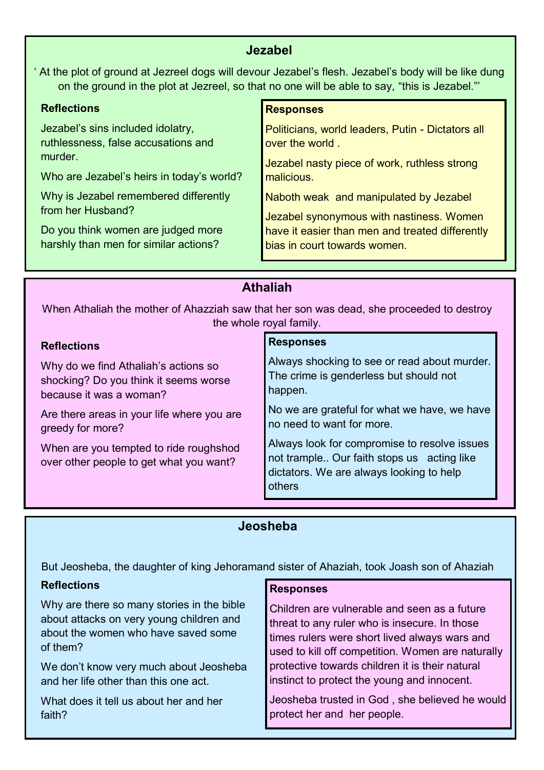### **Jezabel**

At the plot of ground at Jezreel dogs will devour Jezabel's flesh. Jezabel's body will be like dung on the ground in the plot at Jezreel, so that no one will be able to say, "this is Jezabel."'

### **Reflections**

Jezabel's sins included idolatry, ruthlessness, false accusations and murder.

Who are Jezabel's heirs in today's world?

Why is Jezabel remembered differently from her Husband?

Do you think women are judged more harshly than men for similar actions?

### **Responses**

Politicians, world leaders, Putin - Dictators all over the world .

Jezabel nasty piece of work, ruthless strong malicious.

Naboth weak and manipulated by Jezabel

Jezabel synonymous with nastiness. Women have it easier than men and treated differently bias in court towards women.

### **Athaliah**

When Athaliah the mother of Ahazziah saw that her son was dead, she proceeded to destroy the whole royal family.

| <b>Reflections</b>                                                                | <b>Responses</b>                                                                                                                                 |
|-----------------------------------------------------------------------------------|--------------------------------------------------------------------------------------------------------------------------------------------------|
| Why do we find Athaliah's actions so                                              | Always shocking to see or read about murder.                                                                                                     |
| shocking? Do you think it seems worse                                             | The crime is genderless but should not                                                                                                           |
| because it was a woman?                                                           | happen.                                                                                                                                          |
| Are there areas in your life where you are                                        | No we are grateful for what we have, we have                                                                                                     |
| greedy for more?                                                                  | no need to want for more.                                                                                                                        |
| When are you tempted to ride roughshod<br>over other people to get what you want? | Always look for compromise to resolve issues<br>not trample Our faith stops us acting like<br>dictators. We are always looking to help<br>others |

### **Jeosheba**

But Jeosheba, the daughter of king Jehoramand sister of Ahaziah, took Joash son of Ahaziah

### **Reflections**

Why are there so many stories in the bible about attacks on very young children and about the women who have saved some of them?

We don't know very much about Jeosheba and her life other than this one act.

What does it tell us about her and her faith?

### **Responses**

Children are vulnerable and seen as a future threat to any ruler who is insecure. In those times rulers were short lived always wars and used to kill off competition. Women are naturally protective towards children it is their natural instinct to protect the young and innocent.

Jeosheba trusted in God , she believed he would protect her and her people.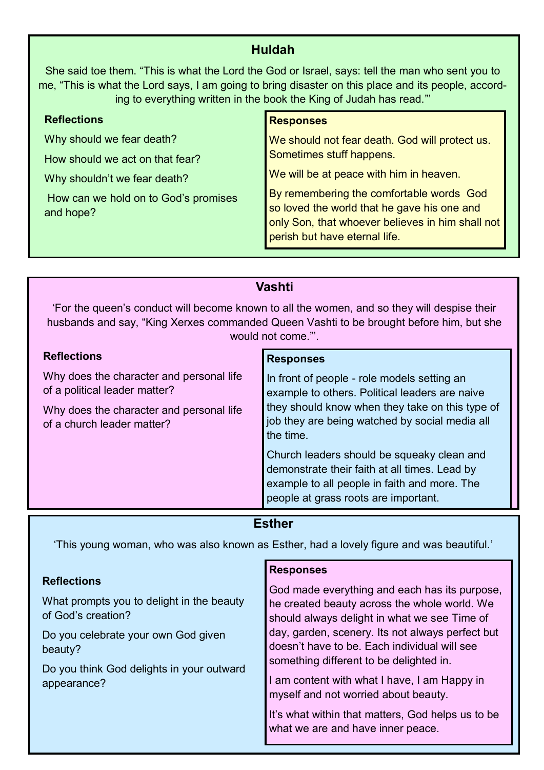### **Huldah**

She said toe them. "This is what the Lord the God or Israel, says: tell the man who sent you to me, "This is what the Lord says, I am going to bring disaster on this place and its people, according to everything written in the book the King of Judah has read."'

| <b>Reflections</b>                                | <b>Responses</b>                                                                                                                                                             |
|---------------------------------------------------|------------------------------------------------------------------------------------------------------------------------------------------------------------------------------|
| Why should we fear death?                         | We should not fear death. God will protect us.                                                                                                                               |
| How should we act on that fear?                   | Sometimes stuff happens.                                                                                                                                                     |
| Why shouldn't we fear death?                      | We will be at peace with him in heaven.                                                                                                                                      |
| How can we hold on to God's promises<br>and hope? | By remembering the comfortable words God<br>so loved the world that he gave his one and<br>only Son, that whoever believes in him shall not<br>perish but have eternal life. |

| Vashti                                                                                                                                                                                                       |                                                                                                                                                                                                                 |
|--------------------------------------------------------------------------------------------------------------------------------------------------------------------------------------------------------------|-----------------------------------------------------------------------------------------------------------------------------------------------------------------------------------------------------------------|
| 'For the queen's conduct will become known to all the women, and so they will despise their<br>husbands and say, "King Xerxes commanded Queen Vashti to be brought before him, but she<br>would not come."'. |                                                                                                                                                                                                                 |
| <b>Reflections</b>                                                                                                                                                                                           | <b>Responses</b>                                                                                                                                                                                                |
| Why does the character and personal life<br>of a political leader matter?<br>Why does the character and personal life<br>of a church leader matter?                                                          | In front of people - role models setting an<br>example to others. Political leaders are naive<br>they should know when they take on this type of<br>job they are being watched by social media all<br>the time. |
|                                                                                                                                                                                                              | Church leaders should be squeaky clean and<br>demonstrate their faith at all times. Lead by<br>example to all people in faith and more. The<br>people at grass roots are important.                             |

### **Esther**

'This young woman, who was also known as Esther, had a lovely figure and was beautiful.'

### **Reflections** What prompts you to delight in the beauty of God's creation? Do you celebrate your own God given

beauty?

Do you think God delights in your outward appearance?

### **Responses**

God made everything and each has its purpose, he created beauty across the whole world. We should always delight in what we see Time of day, garden, scenery. Its not always perfect but doesn't have to be. Each individual will see something different to be delighted in.

I am content with what I have, I am Happy in myself and not worried about beauty.

It's what within that matters, God helps us to be what we are and have inner peace.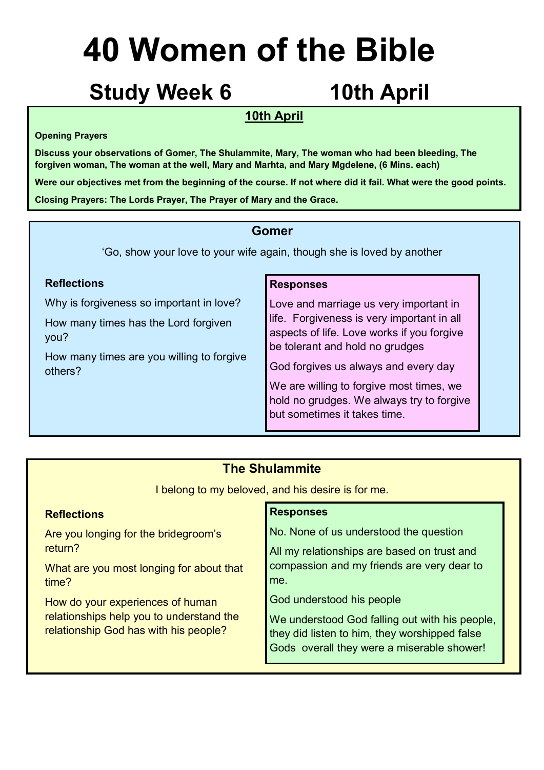## **Study Week 6 10th April**

### **10th April**

### **Opening Prayers**

**Discuss your observations of Gomer, The Shulammite, Mary, The woman who had been bleeding, The forgiven woman, The woman at the well, Mary and Marhta, and Mary Mgdelene, (6 Mins. each)**

**Were our objectives met from the beginning of the course. If not where did it fail. What were the good points. Closing Prayers: The Lords Prayer, The Prayer of Mary and the Grace.**

### **Gomer**

'Go, show your love to your wife again, though she is loved by another

### **Reflections**

Why is forgiveness so important in love?

How many times has the Lord forgiven you?

How many times are you willing to forgive others?

### **Responses**

Love and marriage us very important in life. Forgiveness is very important in all aspects of life. Love works if you forgive be tolerant and hold no grudges

God forgives us always and every day

We are willing to forgive most times, we hold no grudges. We always try to forgive but sometimes it takes time.

### **The Shulammite**

I belong to my beloved, and his desire is for me.

| <b>Reflections</b>                       | <b>Responses</b>                               |
|------------------------------------------|------------------------------------------------|
| Are you longing for the bridegroom's     | No. None of us understood the question         |
| return?                                  | All my relationships are based on trust and    |
| What are you most longing for about that | compassion and my friends are very dear to     |
| time?                                    | me.                                            |
| How do your experiences of human         | God understood his people                      |
| relationships help you to understand the | We understood God falling out with his people, |
| relationship God has with his people?    | they did listen to him, they worshipped false  |
|                                          | Gods overall they were a miserable shower!     |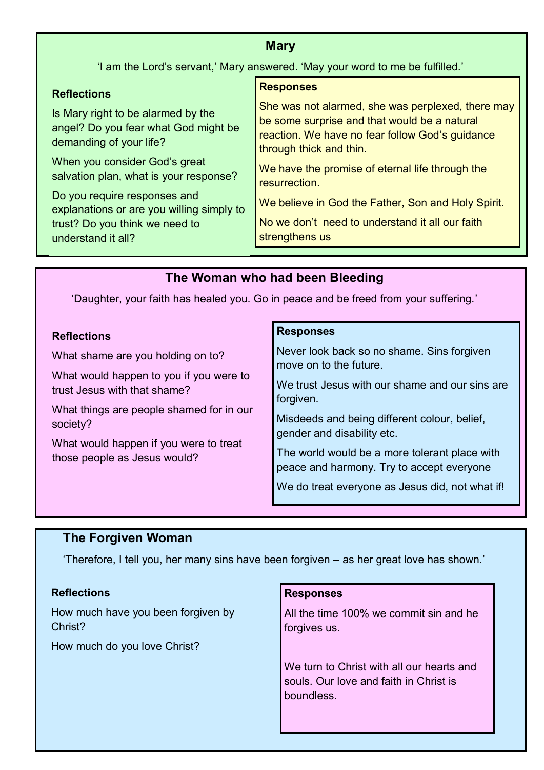### **Mary**

'I am the Lord's servant,' Mary answered. 'May your word to me be fulfilled.'

### **Reflections**

Is Mary right to be alarmed by the angel? Do you fear what God might be demanding of your life?

When you consider God's great salvation plan, what is your response?

Do you require responses and explanations or are you willing simply to trust? Do you think we need to understand it all?

### **Responses**

She was not alarmed, she was perplexed, there may be some surprise and that would be a natural reaction. We have no fear follow God's guidance through thick and thin.

We have the promise of eternal life through the **resurrection** 

We believe in God the Father, Son and Holy Spirit.

No we don't need to understand it all our faith strengthens us

### **The Woman who had been Bleeding**

'Daughter, your faith has healed you. Go in peace and be freed from your suffering.'

### **Reflections**

What shame are you holding on to?

What would happen to you if you were to trust Jesus with that shame?

What things are people shamed for in our society?

What would happen if you were to treat those people as Jesus would?

### **Responses**

Never look back so no shame. Sins forgiven move on to the future.

We trust Jesus with our shame and our sins are forgiven.

Misdeeds and being different colour, belief, gender and disability etc.

The world would be a more tolerant place with peace and harmony. Try to accept everyone

We do treat everyone as Jesus did, not what if!

### **The Forgiven Woman**

'Therefore, I tell you, her many sins have been forgiven – as her great love has shown.'

### **Reflections**

How much have you been forgiven by Christ?

How much do you love Christ?

### **Responses**

All the time 100% we commit sin and he forgives us.

We turn to Christ with all our hearts and souls. Our love and faith in Christ is boundless.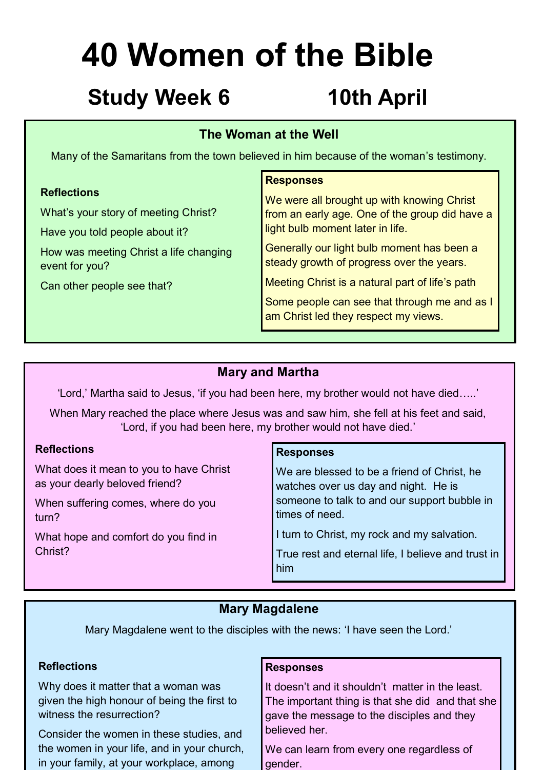## **Study Week 6 10th April**

### **The Woman at the Well**

Many of the Samaritans from the town believed in him because of the woman's testimony.

### **Reflections**

What's your story of meeting Christ?

Have you told people about it?

How was meeting Christ a life changing event for you?

Can other people see that?

### **Responses**

We were all brought up with knowing Christ from an early age. One of the group did have a light bulb moment later in life.

Generally our light bulb moment has been a steady growth of progress over the years.

Meeting Christ is a natural part of life's path

Some people can see that through me and as I am Christ led they respect my views.

### **Mary and Martha**

'Lord,' Martha said to Jesus, 'if you had been here, my brother would not have died…..'

When Mary reached the place where Jesus was and saw him, she fell at his feet and said, 'Lord, if you had been here, my brother would not have died.'

### **Reflections**

What does it mean to you to have Christ as your dearly beloved friend?

When suffering comes, where do you turn?

What hope and comfort do you find in Christ?

### **Responses**

We are blessed to be a friend of Christ, he watches over us day and night. He is someone to talk to and our support bubble in times of need.

I turn to Christ, my rock and my salvation.

True rest and eternal life, I believe and trust in him

### **Mary Magdalene**

Mary Magdalene went to the disciples with the news: 'I have seen the Lord.'

### **Reflections**

Why does it matter that a woman was given the high honour of being the first to witness the resurrection?

Consider the women in these studies, and the women in your life, and in your church, in your family, at your workplace, among

### **Responses**

It doesn't and it shouldn't matter in the least. The important thing is that she did and that she gave the message to the disciples and they believed her.

We can learn from every one regardless of gender.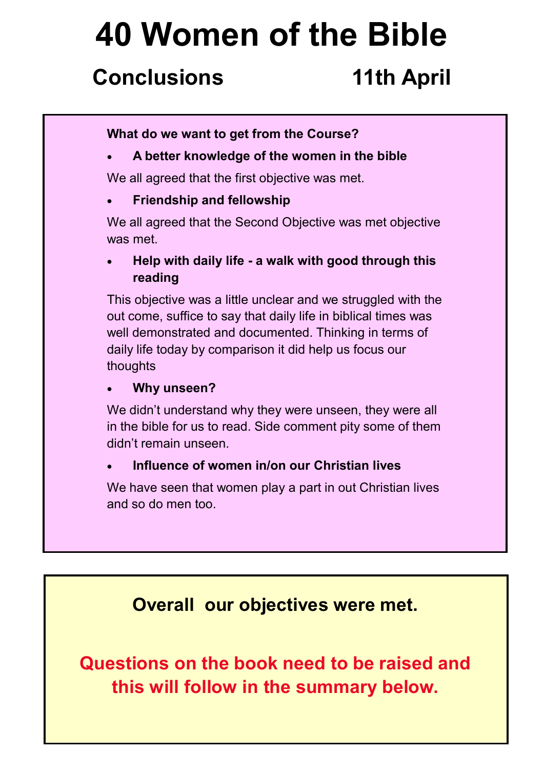## **Conclusions 11th April**

### **What do we want to get from the Course?**

**A better knowledge of the women in the bible**

We all agreed that the first objective was met.

**Friendship and fellowship**

We all agreed that the Second Objective was met objective was met.

 **Help with daily life - a walk with good through this reading**

This objective was a little unclear and we struggled with the out come, suffice to say that daily life in biblical times was well demonstrated and documented. Thinking in terms of daily life today by comparison it did help us focus our thoughts

### **Why unseen?**

We didn't understand why they were unseen, they were all in the bible for us to read. Side comment pity some of them didn't remain unseen.

### **Influence of women in/on our Christian lives**

We have seen that women play a part in out Christian lives and so do men too.

## **Overall our objectives were met.**

**Questions on the book need to be raised and this will follow in the summary below.**